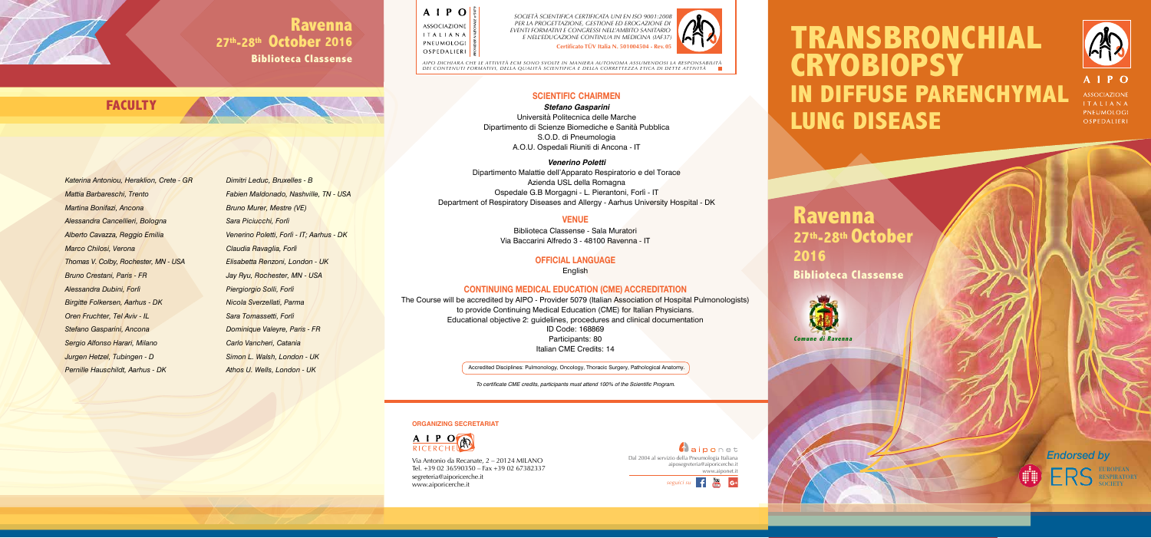# **TRANSBRONCHIAL CRYOBIOPSY IN DIFFUSE PARENCHYMAL LUNG DISEASE**



**ASSOCIAZIONE ITALIANA** PNEUMOLOGI OSPEDALIERI

## **Ravenna 27th-28th October Biblioteca Classense**

**2016**

Via Antonio da Recanate, 2 – 20124 MILANO Tel. +39 02 36590350 – Fax +39 02 67382337 segreteria@aiporicerche.it www.aiporicerche.it

### **ORGANIZING SECRETARIAT**



### **VENUE**

Biblioteca Classense - Sala Muratori Via Baccarini Alfredo 3 - 48100 Ravenna - IT

### **OFFICIAL LANGUAGE**

**English** 

### **CONTINUING MEDICAL EDUCATION (CME) ACCREDITATION**

The Course will be accredited by AIPO - Provider 5079 (Italian Association of Hospital Pulmonologists) to provide Continuing Medical Education (CME) for Italian Physicians. Educational objective 2: guidelines, procedures and clinical documentation ID Code: 168869 Participants: 80 Italian CME Credits: 14

**Certificato TÜV Italia N. 501004504 - Rev. 05** SOCIETA SCIENTIFICA CERTIFICATA UNI EN ISO 9001:2008<br>PER LA PROGETTAZIONE, GESTIONE ED EROGAZIONE DI<br>EVENTI FORMATIVI E CONCRESSI NELL'AMBITO SANITARIO<br>E NELL'EDUCAZIONE CONTINUA IN MEDICINA (IAF37)



**SCIENTIFIC CHAIRMEN**

*Stefano Gasparini* Università Politecnica delle Marche Dipartimento di Scienze Biomediche e Sanità Pubblica S.O.D. di Pneumologia A.O.U. Ospedali Riuniti di Ancona - IT

> **A**aiponet Dal 2004 al servizio della Pneumologia Italiana aiposegreteria@aiporicerche.it www.aiponet.it

*Venerino Poletti* Dipartimento Malattie dell'Apparato Respiratorio e del Torace Azienda USL della Romagna Ospedale G.B Morgagni - L. Pierantoni, Forlì - IT Department of Respiratory Diseases and Allergy - Aarhus University Hospital - DK

To certificate CME credits, participants must attend 100% of the Scientific Program.

## **Ravenna 27th-28th October 2016**

**Biblioteca Classense**

EUROPEAN **RESPIRATORY SOCIETY** 

*AIPO DICHIARA CHE LE ATTIVITÀ ECM SONO SVOLTE IN MANIERA AUTONOMA ASSUMENDOSI LA RESPONSABILITÀ DEI CONTENUTI FORMATIVI, DELLA QUALITÀ SCIENTIFICA E DELLA CORRETTEZZA ETICA DI DETTE ATTIVITÀ*



Accredited Disciplines: Pulmonology, Oncology, Thoracic Surgery, Pathological Anatomy.

*Katerina Antoniou, Heraklion, Crete - GR Mattia Barbareschi, Trento Martina Bonifazi, Ancona Alessandra Cancellieri, Bologna Alberto Cavazza, Reggio Emilia Marco Chilosi, Verona Thomas V. Colby, Rochester, MN - USA Bruno Crestani, Paris - FR Alessandra Dubini, Forlì Birgitte Folkersen, Aarhus - DK Oren Fruchter, Tel Aviv - IL Stefano Gasparini, Ancona Sergio Alfonso Harari, Milano Jurgen Hetzel, Tubingen - D Pernille Hauschildt, Aarhus - DK*

**FACULTY**

*Dimitri Leduc, Bruxelles - B Fabien Maldonado, Nashville, TN - USA Bruno Murer, Mestre (VE) Sara Piciucchi, Forlì Venerino Poletti, Forlì - IT; Aarhus - DK Claudia Ravaglia, Forlì Elisabetta Renzoni, London - UK Jay Ryu, Rochester, MN - USA Piergiorgio Solli, Forlì Nicola Sverzellati, Parma Sara Tomassetti, Forlì Dominique Valeyre, Paris - FR Carlo Vancheri, Catania Simon L. Walsh, London - UK Athos U. Wells, London - UK*

 $A \perp P O$ *PROVIDER NAZIONALE n°5079* **ASSOCIAZIONE ITALIANA PNEUMOLOGI** OSPEDALIERI<sup>5</sup>